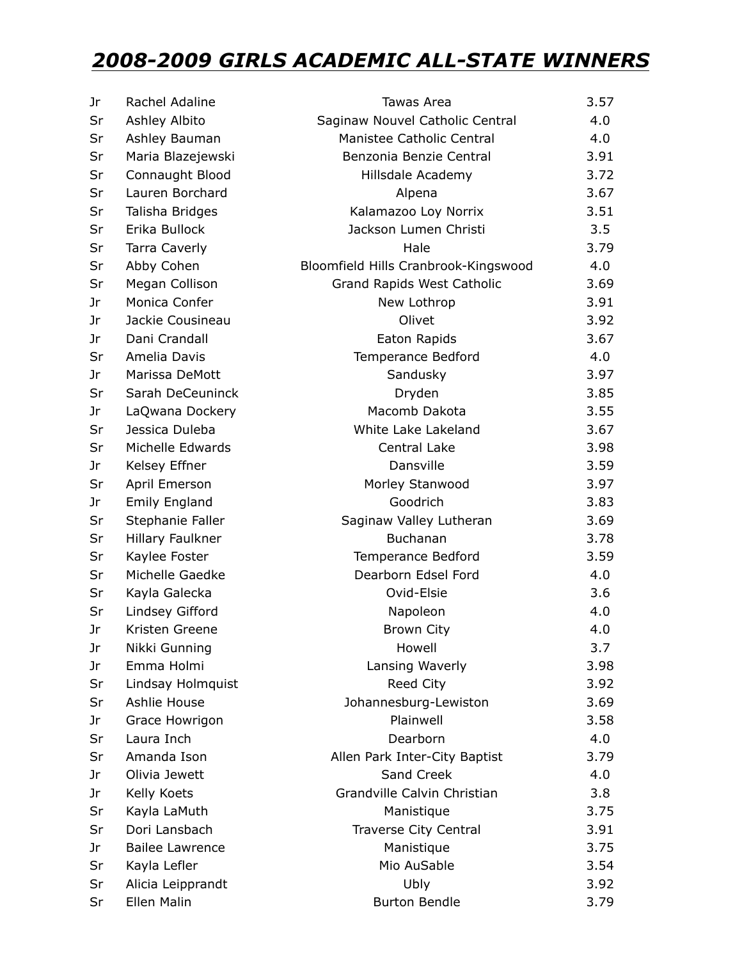## *2008-2009 GIRLS ACADEMIC ALL-STATE WINNERS*

| Jr | Rachel Adaline         | Tawas Area                           | 3.57 |
|----|------------------------|--------------------------------------|------|
| Sr | Ashley Albito          | Saginaw Nouvel Catholic Central      | 4.0  |
| Sr | Ashley Bauman          | Manistee Catholic Central            | 4.0  |
| Sr | Maria Blazejewski      | Benzonia Benzie Central              | 3.91 |
| Sr | Connaught Blood        | Hillsdale Academy                    | 3.72 |
| Sr | Lauren Borchard        | Alpena                               | 3.67 |
| Sr | Talisha Bridges        | Kalamazoo Loy Norrix                 | 3.51 |
| Sr | Erika Bullock          | Jackson Lumen Christi                | 3.5  |
| Sr | <b>Tarra Caverly</b>   | Hale                                 | 3.79 |
| Sr | Abby Cohen             | Bloomfield Hills Cranbrook-Kingswood | 4.0  |
| Sr | Megan Collison         | Grand Rapids West Catholic           | 3.69 |
| Jr | Monica Confer          | New Lothrop                          | 3.91 |
| Jr | Jackie Cousineau       | Olivet                               | 3.92 |
| Jr | Dani Crandall          | Eaton Rapids                         | 3.67 |
| Sr | Amelia Davis           | Temperance Bedford                   | 4.0  |
| Jr | Marissa DeMott         | Sandusky                             | 3.97 |
| Sr | Sarah DeCeuninck       | Dryden                               | 3.85 |
| Jr | LaQwana Dockery        | Macomb Dakota                        | 3.55 |
| Sr | Jessica Duleba         | White Lake Lakeland                  | 3.67 |
| Sr | Michelle Edwards       | Central Lake                         | 3.98 |
| Jr | Kelsey Effner          | Dansville                            | 3.59 |
| Sr | April Emerson          | Morley Stanwood                      | 3.97 |
| Jr | <b>Emily England</b>   | Goodrich                             | 3.83 |
| Sr | Stephanie Faller       | Saginaw Valley Lutheran              | 3.69 |
| Sr | Hillary Faulkner       | Buchanan                             | 3.78 |
| Sr | Kaylee Foster          | Temperance Bedford                   | 3.59 |
| Sr | Michelle Gaedke        | Dearborn Edsel Ford                  | 4.0  |
| Sr | Kayla Galecka          | Ovid-Elsie                           | 3.6  |
| Sr | Lindsey Gifford        | Napoleon                             | 4.0  |
| Jr | Kristen Greene         | <b>Brown City</b>                    | 4.0  |
| Jr | Nikki Gunning          | Howell                               | 3.7  |
| Jr | Emma Holmi             | Lansing Waverly                      | 3.98 |
| Sr | Lindsay Holmquist      | Reed City                            | 3.92 |
| Sr | Ashlie House           | Johannesburg-Lewiston                | 3.69 |
| Jr | Grace Howrigon         | Plainwell                            | 3.58 |
| Sr | Laura Inch             | Dearborn                             | 4.0  |
| Sr | Amanda Ison            | Allen Park Inter-City Baptist        | 3.79 |
| Jr | Olivia Jewett          | Sand Creek                           | 4.0  |
| Jr | Kelly Koets            | Grandville Calvin Christian          | 3.8  |
| Sr | Kayla LaMuth           | Manistique                           | 3.75 |
| Sr | Dori Lansbach          | Traverse City Central                | 3.91 |
| Jr | <b>Bailee Lawrence</b> | Manistique                           | 3.75 |
| Sr | Kayla Lefler           | Mio AuSable                          | 3.54 |
| Sr | Alicia Leipprandt      | Ubly                                 | 3.92 |
| Sr | Ellen Malin            | <b>Burton Bendle</b>                 | 3.79 |